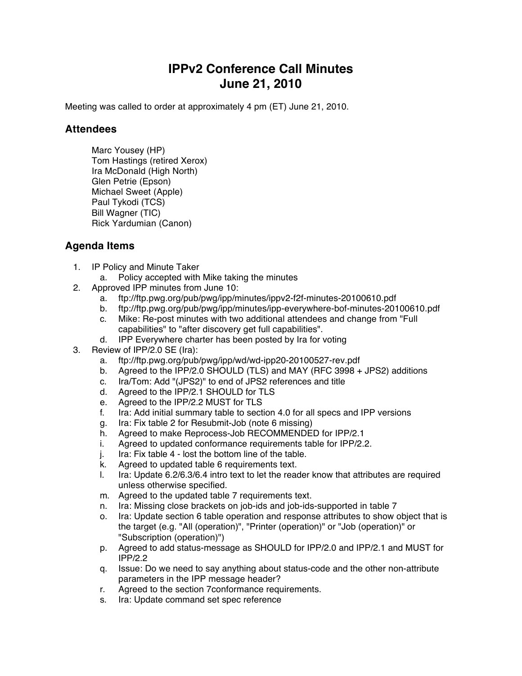## **IPPv2 Conference Call Minutes June 21, 2010**

Meeting was called to order at approximately 4 pm (ET) June 21, 2010.

## **Attendees**

Marc Yousey (HP) Tom Hastings (retired Xerox) Ira McDonald (High North) Glen Petrie (Epson) Michael Sweet (Apple) Paul Tykodi (TCS) Bill Wagner (TIC) Rick Yardumian (Canon)

## **Agenda Items**

- 1. IP Policy and Minute Taker
	- a. Policy accepted with Mike taking the minutes
- 2. Approved IPP minutes from June 10:
	- a. ftp://ftp.pwg.org/pub/pwg/ipp/minutes/ippv2-f2f-minutes-20100610.pdf
	- b. ftp://ftp.pwg.org/pub/pwg/ipp/minutes/ipp-everywhere-bof-minutes-20100610.pdf
	- c. Mike: Re-post minutes with two additional attendees and change from "Full capabilities" to "after discovery get full capabilities".
	- d. IPP Everywhere charter has been posted by Ira for voting
- 3. Review of IPP/2.0 SE (Ira):
	- a. ftp://ftp.pwg.org/pub/pwg/ipp/wd/wd-ipp20-20100527-rev.pdf
	- b. Agreed to the IPP/2.0 SHOULD (TLS) and MAY (RFC 3998 + JPS2) additions
	- c. Ira/Tom: Add "(JPS2)" to end of JPS2 references and title
	- d. Agreed to the IPP/2.1 SHOULD for TLS
	- e. Agreed to the IPP/2.2 MUST for TLS
	- f. Ira: Add initial summary table to section 4.0 for all specs and IPP versions
	- g. Ira: Fix table 2 for Resubmit-Job (note 6 missing)
	- h. Agreed to make Reprocess-Job RECOMMENDED for IPP/2.1
	- i. Agreed to updated conformance requirements table for IPP/2.2.
	- j. Ira: Fix table 4 lost the bottom line of the table.
	- k. Agreed to updated table 6 requirements text.
	- l. Ira: Update 6.2/6.3/6.4 intro text to let the reader know that attributes are required unless otherwise specified.
	- m. Agreed to the updated table 7 requirements text.
	- n. Ira: Missing close brackets on job-ids and job-ids-supported in table 7
	- o. Ira: Update section 6 table operation and response attributes to show object that is the target (e.g. "All (operation)", "Printer (operation)" or "Job (operation)" or "Subscription (operation)")
	- p. Agreed to add status-message as SHOULD for IPP/2.0 and IPP/2.1 and MUST for IPP/2.2
	- q. Issue: Do we need to say anything about status-code and the other non-attribute parameters in the IPP message header?
	- r. Agreed to the section 7conformance requirements.
	- s. Ira: Update command set spec reference